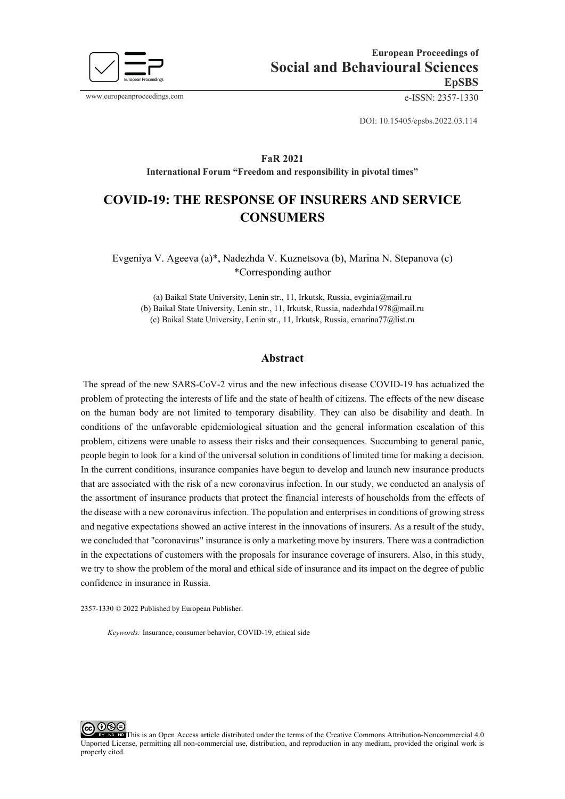

www.europeanproceedings.com e-ISSN: 2357-1330

DOI: 10.15405/epsbs.2022.03.114

# **FaR 2021 International Forum "Freedom and responsibility in pivotal times"**

# **COVID-19: THE RESPONSE OF INSURERS AND SERVICE CONSUMERS**

# Evgeniya V. Ageeva (a)\*, Nadezhda V. Kuznetsova (b), Marina N. Stepanova (с) \*Corresponding author

(a) Baikal State University, Lenin str., 11, Irkutsk, Russia, evginia@mail.ru (b) Baikal State University, Lenin str., 11, Irkutsk, Russia, nadezhda1978@mail.ru (c) Baikal State University, Lenin str., 11, Irkutsk, Russia, emarina77@list.ru

# **Abstract**

The spread of the new SARS-CoV-2 virus and the new infectious disease COVID-19 has actualized the problem of protecting the interests of life and the state of health of citizens. The effects of the new disease on the human body are not limited to temporary disability. They can also be disability and death. In conditions of the unfavorable epidemiological situation and the general information escalation of this problem, citizens were unable to assess their risks and their consequences. Succumbing to general panic, people begin to look for a kind of the universal solution in conditions of limited time for making a decision. In the current conditions, insurance companies have begun to develop and launch new insurance products that are associated with the risk of a new coronavirus infection. In our study, we conducted an analysis of the assortment of insurance products that protect the financial interests of households from the effects of the disease with a new coronavirus infection. The population and enterprises in conditions of growing stress and negative expectations showed an active interest in the innovations of insurers. As a result of the study, we concluded that "coronavirus" insurance is only a marketing move by insurers. There was a contradiction in the expectations of customers with the proposals for insurance coverage of insurers. Also, in this study, we try to show the problem of the moral and ethical side of insurance and its impact on the degree of public confidence in insurance in Russia.

2357-1330 © 2022 Published by European Publisher.

*Keywords:* Insurance, consumer behavior, COVID-19, ethical side

റജഭ This is an Open Access article distributed under the terms of the Creative Commons Attribution-Noncommercial 4.0 Unported License, permitting all non-commercial use, distribution, and reproduction in any medium, provided the original work is properly cited.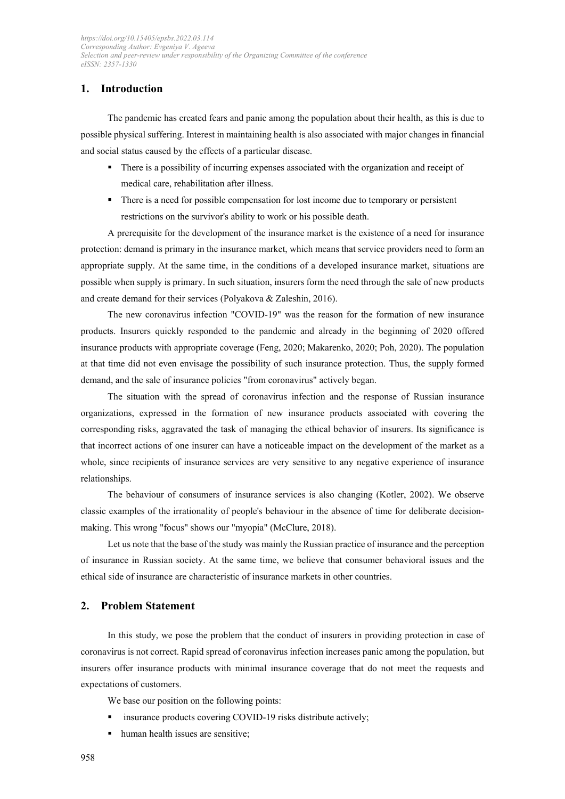# **1. Introduction**

The pandemic has created fears and panic among the population about their health, as this is due to possible physical suffering. Interest in maintaining health is also associated with major changes in financial and social status caused by the effects of a particular disease.

- There is a possibility of incurring expenses associated with the organization and receipt of medical care, rehabilitation after illness.
- **There is a need for possible compensation for lost income due to temporary or persistent** restrictions on the survivor's ability to work or his possible death.

A prerequisite for the development of the insurance market is the existence of a need for insurance protection: demand is primary in the insurance market, which means that service providers need to form an appropriate supply. At the same time, in the conditions of a developed insurance market, situations are possible when supply is primary. In such situation, insurers form the need through the sale of new products and create demand for their services (Polyakova & Zaleshin, 2016).

The new coronavirus infection "COVID-19" was the reason for the formation of new insurance products. Insurers quickly responded to the pandemic and already in the beginning of 2020 offered insurance products with appropriate coverage (Feng, 2020; Makarenko, 2020; Poh, 2020). The population at that time did not even envisage the possibility of such insurance protection. Thus, the supply formed demand, and the sale of insurance policies "from coronavirus" actively began.

The situation with the spread of coronavirus infection and the response of Russian insurance organizations, expressed in the formation of new insurance products associated with covering the corresponding risks, aggravated the task of managing the ethical behavior of insurers. Its significance is that incorrect actions of one insurer can have a noticeable impact on the development of the market as a whole, since recipients of insurance services are very sensitive to any negative experience of insurance relationships.

The behaviour of consumers of insurance services is also changing (Kotler, 2002). We observe classic examples of the irrationality of people's behaviour in the absence of time for deliberate decisionmaking. This wrong "focus" shows our "myopia" (McClure, 2018).

Let us note that the base of the study was mainly the Russian practice of insurance and the perception of insurance in Russian society. At the same time, we believe that consumer behavioral issues and the ethical side of insurance are characteristic of insurance markets in other countries.

## **2. Problem Statement**

In this study, we pose the problem that the conduct of insurers in providing protection in case of coronavirus is not correct. Rapid spread of coronavirus infection increases panic among the population, but insurers offer insurance products with minimal insurance coverage that do not meet the requests and expectations of customers.

We base our position on the following points:

- insurance products covering COVID-19 risks distribute actively;
- human health issues are sensitive;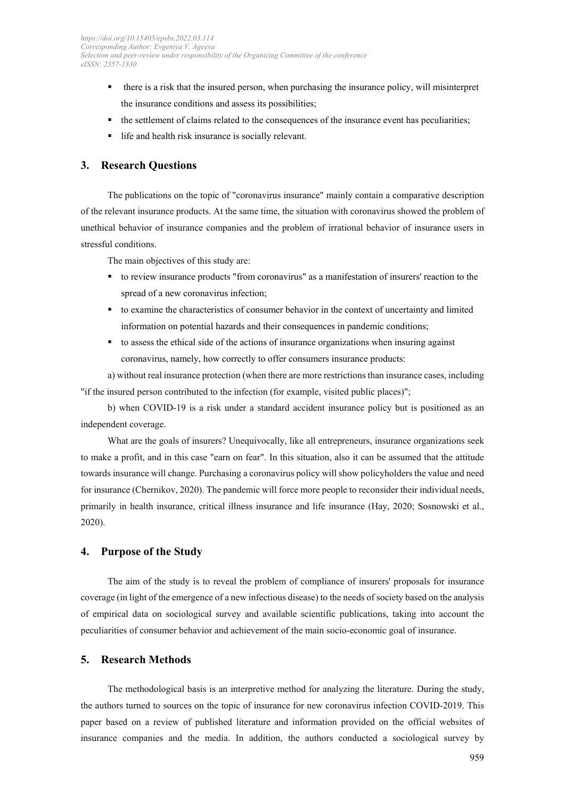- there is a risk that the insured person, when purchasing the insurance policy, will misinterpret the insurance conditions and assess its possibilities;
- the settlement of claims related to the consequences of the insurance event has peculiarities;
- life and health risk insurance is socially relevant.

# **3. Research Questions**

The publications on the topic of "coronavirus insurance" mainly contain a comparative description of the relevant insurance products. At the same time, the situation with coronavirus showed the problem of unethical behavior of insurance companies and the problem of irrational behavior of insurance users in stressful conditions.

The main objectives of this study are:

- to review insurance products "from coronavirus" as a manifestation of insurers' reaction to the spread of a new coronavirus infection;
- to examine the characteristics of consumer behavior in the context of uncertainty and limited information on potential hazards and their consequences in pandemic conditions;
- to assess the ethical side of the actions of insurance organizations when insuring against coronavirus, namely, how correctly to offer consumers insurance products:

a) without real insurance protection (when there are more restrictions than insurance cases, including "if the insured person contributed to the infection (for example, visited public places)";

b) when COVID-19 is a risk under a standard accident insurance policy but is positioned as an independent coverage.

What are the goals of insurers? Unequivocally, like all entrepreneurs, insurance organizations seek to make a profit, and in this case "earn on fear". In this situation, also it can be assumed that the attitude towards insurance will change. Purchasing a coronavirus policy will show policyholders the value and need for insurance (Chernikov, 2020). The pandemic will force more people to reconsider their individual needs, primarily in health insurance, critical illness insurance and life insurance (Hay, 2020; Sosnowski et al., 2020).

# **4. Purpose of the Study**

The aim of the study is to reveal the problem of compliance of insurers' proposals for insurance coverage (in light of the emergence of a new infectious disease) to the needs of society based on the analysis of empirical data on sociological survey and available scientific publications, taking into account the peculiarities of consumer behavior and achievement of the main socio-economic goal of insurance.

# **5. Research Methods**

The methodological basis is an interpretive method for analyzing the literature. During the study, the authors turned to sources on the topic of insurance for new coronavirus infection COVID-2019. This paper based on a review of published literature and information provided on the official websites of insurance companies and the media. In addition, the authors conducted a sociological survey by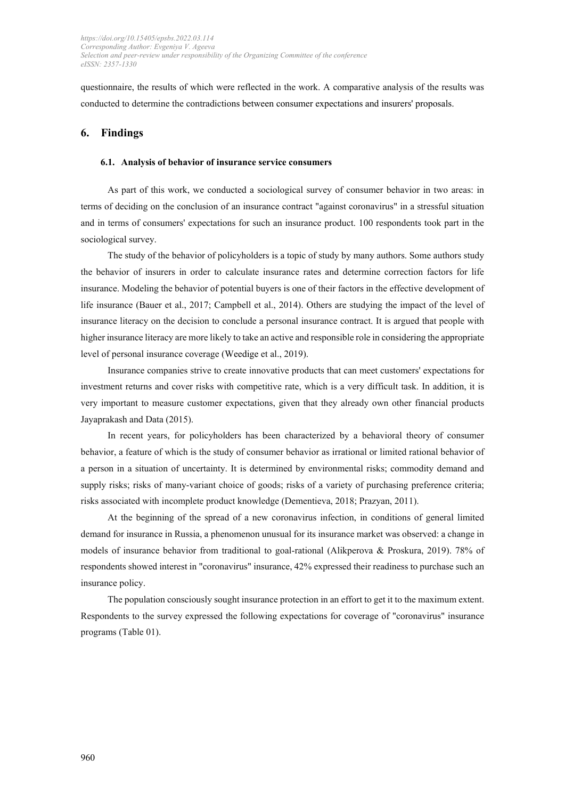questionnaire, the results of which were reflected in the work. A comparative analysis of the results was conducted to determine the contradictions between consumer expectations and insurers' proposals.

# **6. Findings**

#### **6.1. Analysis of behavior of insurance service consumers**

As part of this work, we conducted a sociological survey of consumer behavior in two areas: in terms of deciding on the conclusion of an insurance contract "against coronavirus" in a stressful situation and in terms of consumers' expectations for such an insurance product. 100 respondents took part in the sociological survey.

The study of the behavior of policyholders is a topic of study by many authors. Some authors study the behavior of insurers in order to calculate insurance rates and determine correction factors for life insurance. Modeling the behavior of potential buyers is one of their factors in the effective development of life insurance (Bauer et al., 2017; Campbell et al., 2014). Others are studying the impact of the level of insurance literacy on the decision to conclude a personal insurance contract. It is argued that people with higher insurance literacy are more likely to take an active and responsible role in considering the appropriate level of personal insurance coverage (Weedige et al., 2019).

Insurance companies strive to create innovative products that can meet customers' expectations for investment returns and cover risks with competitive rate, which is a very difficult task. In addition, it is very important to measure customer expectations, given that they already own other financial products Jayaprakash and Data (2015).

In recent years, for policyholders has been characterized by a behavioral theory of consumer behavior, a feature of which is the study of consumer behavior as irrational or limited rational behavior of a person in a situation of uncertainty. It is determined by environmental risks; commodity demand and supply risks; risks of many-variant choice of goods; risks of a variety of purchasing preference criteria; risks associated with incomplete product knowledge (Dementieva, 2018; Prazyan, 2011).

At the beginning of the spread of a new coronavirus infection, in conditions of general limited demand for insurance in Russia, a phenomenon unusual for its insurance market was observed: a change in models of insurance behavior from traditional to goal-rational (Alikperova & Proskura, 2019). 78% of respondents showed interest in "coronavirus" insurance, 42% expressed their readiness to purchase such an insurance policy.

The population consciously sought insurance protection in an effort to get it to the maximum extent. Respondents to the survey expressed the following expectations for coverage of "coronavirus" insurance programs (Table 01).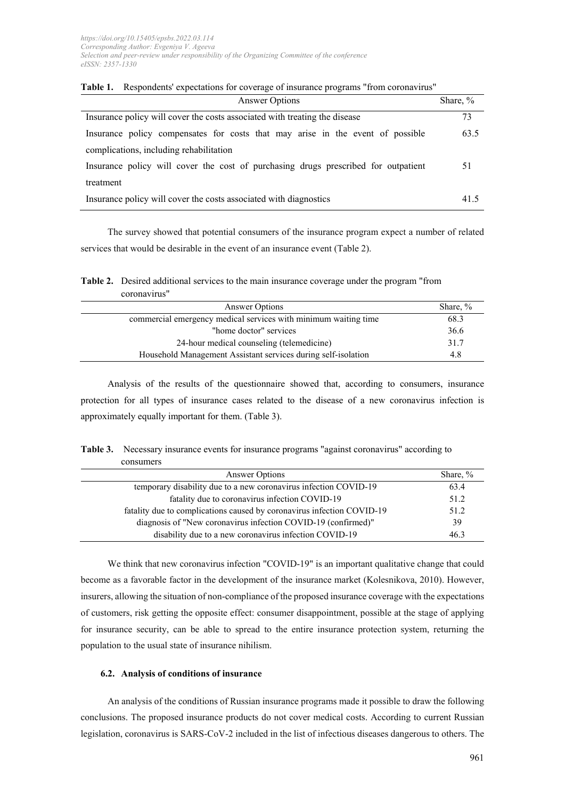| Answer Options                                                                     | Share, % |
|------------------------------------------------------------------------------------|----------|
| Insurance policy will cover the costs associated with treating the disease         | 73       |
| Insurance policy compensates for costs that may arise in the event of possible     | 63.5     |
| complications, including rehabilitation                                            |          |
| Insurance policy will cover the cost of purchasing drugs prescribed for outpatient | 51       |
| treatment                                                                          |          |
| Insurance policy will cover the costs associated with diagnostics                  | 41.5     |

**Table 1.** Respondents' expectations for coverage of insurance programs "from coronavirus"

The survey showed that potential consumers of the insurance program expect a number of related services that would be desirable in the event of an insurance event (Table 2).

**Table 2.** Desired additional services to the main insurance coverage under the program "from coronavirus"

| Answer Options                                                  | Share, % |
|-----------------------------------------------------------------|----------|
| commercial emergency medical services with minimum waiting time | 68.3     |
| "home doctor" services                                          | 36.6     |
| 24-hour medical counseling (telemedicine)                       | 31.7     |
| Household Management Assistant services during self-isolation   | 4.8      |

Analysis of the results of the questionnaire showed that, according to consumers, insurance protection for all types of insurance cases related to the disease of a new coronavirus infection is approximately equally important for them. (Table 3).

**Table 3.** Necessary insurance events for insurance programs "against coronavirus" according to consumers

| Answer Options                                                         | Share, % |
|------------------------------------------------------------------------|----------|
| temporary disability due to a new coronavirus infection COVID-19       | 63.4     |
| fatality due to coronavirus infection COVID-19                         | 51.2     |
| fatality due to complications caused by coronavirus infection COVID-19 | 51.2     |
| diagnosis of "New coronavirus infection COVID-19 (confirmed)"          | 39       |
| disability due to a new coronavirus infection COVID-19                 | 46.3     |

We think that new coronavirus infection "COVID-19" is an important qualitative change that could become as a favorable factor in the development of the insurance market (Kolesnikova, 2010). However, insurers, allowing the situation of non-compliance of the proposed insurance coverage with the expectations of customers, risk getting the opposite effect: consumer disappointment, possible at the stage of applying for insurance security, can be able to spread to the entire insurance protection system, returning the population to the usual state of insurance nihilism.

#### **6.2. Analysis of conditions of insurance**

An analysis of the conditions of Russian insurance programs made it possible to draw the following conclusions. The proposed insurance products do not cover medical costs. According to current Russian legislation, coronavirus is SARS-CoV-2 included in the list of infectious diseases dangerous to others. The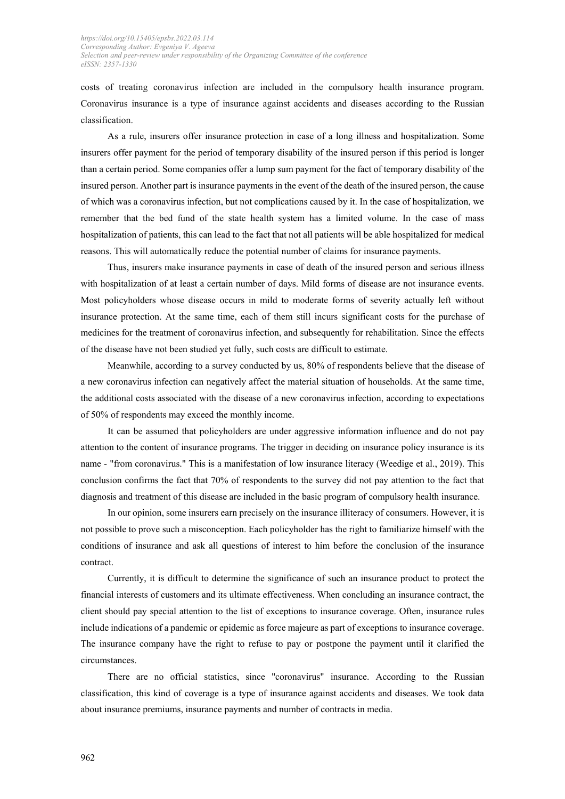costs of treating coronavirus infection are included in the compulsory health insurance program. Coronavirus insurance is a type of insurance against accidents and diseases according to the Russian classification.

As a rule, insurers offer insurance protection in case of a long illness and hospitalization. Some insurers offer payment for the period of temporary disability of the insured person if this period is longer than a certain period. Some companies offer a lump sum payment for the fact of temporary disability of the insured person. Another part is insurance payments in the event of the death of the insured person, the cause of which was a coronavirus infection, but not complications caused by it. In the case of hospitalization, we remember that the bed fund of the state health system has a limited volume. In the case of mass hospitalization of patients, this can lead to the fact that not all patients will be able hospitalized for medical reasons. This will automatically reduce the potential number of claims for insurance payments.

Thus, insurers make insurance payments in case of death of the insured person and serious illness with hospitalization of at least a certain number of days. Mild forms of disease are not insurance events. Most policyholders whose disease occurs in mild to moderate forms of severity actually left without insurance protection. At the same time, each of them still incurs significant costs for the purchase of medicines for the treatment of coronavirus infection, and subsequently for rehabilitation. Since the effects of the disease have not been studied yet fully, such costs are difficult to estimate.

Meanwhile, according to a survey conducted by us, 80% of respondents believe that the disease of a new coronavirus infection can negatively affect the material situation of households. At the same time, the additional costs associated with the disease of a new coronavirus infection, according to expectations of 50% of respondents may exceed the monthly income.

It can be assumed that policyholders are under aggressive information influence and do not pay attention to the content of insurance programs. The trigger in deciding on insurance policy insurance is its name - "from coronavirus." This is a manifestation of low insurance literacy (Weedige et al., 2019). This conclusion confirms the fact that 70% of respondents to the survey did not pay attention to the fact that diagnosis and treatment of this disease are included in the basic program of compulsory health insurance.

In our opinion, some insurers earn precisely on the insurance illiteracy of consumers. However, it is not possible to prove such a misconception. Each policyholder has the right to familiarize himself with the conditions of insurance and ask all questions of interest to him before the conclusion of the insurance contract.

Currently, it is difficult to determine the significance of such an insurance product to protect the financial interests of customers and its ultimate effectiveness. When concluding an insurance contract, the client should pay special attention to the list of exceptions to insurance coverage. Often, insurance rules include indications of a pandemic or epidemic as force majeure as part of exceptions to insurance coverage. The insurance company have the right to refuse to pay or postpone the payment until it clarified the circumstances.

There are no official statistics, since "coronavirus" insurance. According to the Russian classification, this kind of coverage is a type of insurance against accidents and diseases. We took data about insurance premiums, insurance payments and number of contracts in media.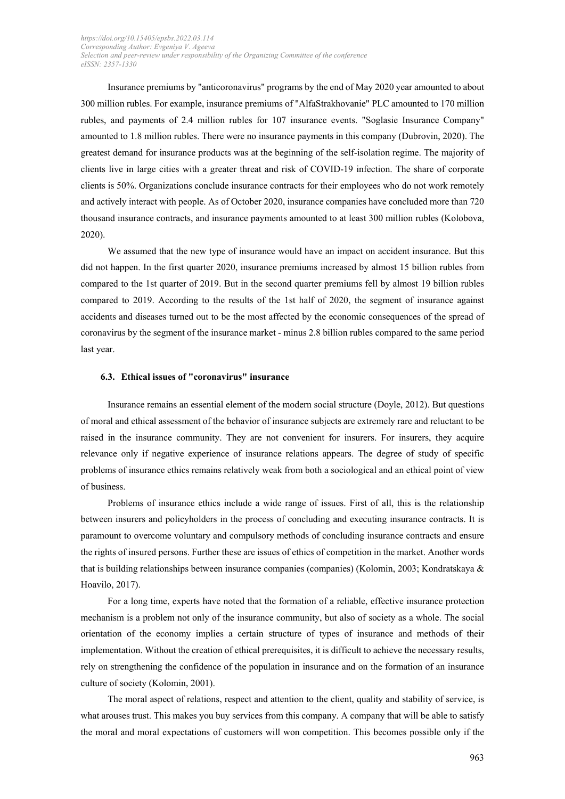Insurance premiums by "anticoronavirus" programs by the end of May 2020 year amounted to about 300 million rubles. For example, insurance premiums of "AlfaStrakhovanie" PLC amounted to 170 million rubles, and payments of 2.4 million rubles for 107 insurance events. "Soglasie Insurance Company" amounted to 1.8 million rubles. There were no insurance payments in this company (Dubrovin, 2020). The greatest demand for insurance products was at the beginning of the self-isolation regime. The majority of clients live in large cities with a greater threat and risk of COVID-19 infection. The share of corporate clients is 50%. Organizations conclude insurance contracts for their employees who do not work remotely and actively interact with people. As of October 2020, insurance companies have concluded more than 720 thousand insurance contracts, and insurance payments amounted to at least 300 million rubles (Kolobova, 2020).

We assumed that the new type of insurance would have an impact on accident insurance. But this did not happen. In the first quarter 2020, insurance premiums increased by almost 15 billion rubles from compared to the 1st quarter of 2019. But in the second quarter premiums fell by almost 19 billion rubles compared to 2019. According to the results of the 1st half of 2020, the segment of insurance against accidents and diseases turned out to be the most affected by the economic consequences of the spread of coronavirus by the segment of the insurance market - minus 2.8 billion rubles compared to the same period last year.

#### **6.3. Ethical issues of "coronavirus" insurance**

Insurance remains an essential element of the modern social structure (Doyle, 2012). But questions of moral and ethical assessment of the behavior of insurance subjects are extremely rare and reluctant to be raised in the insurance community. They are not convenient for insurers. For insurers, they acquire relevance only if negative experience of insurance relations appears. The degree of study of specific problems of insurance ethics remains relatively weak from both a sociological and an ethical point of view of business.

Problems of insurance ethics include a wide range of issues. First of all, this is the relationship between insurers and policyholders in the process of concluding and executing insurance contracts. It is paramount to overcome voluntary and compulsory methods of concluding insurance contracts and ensure the rights of insured persons. Further these are issues of ethics of competition in the market. Another words that is building relationships between insurance companies (companies) (Kolomin, 2003; Kondratskaya & Hoavilo, 2017).

For a long time, experts have noted that the formation of a reliable, effective insurance protection mechanism is a problem not only of the insurance community, but also of society as a whole. The social orientation of the economy implies a certain structure of types of insurance and methods of their implementation. Without the creation of ethical prerequisites, it is difficult to achieve the necessary results, rely on strengthening the confidence of the population in insurance and on the formation of an insurance culture of society (Kolomin, 2001).

The moral aspect of relations, respect and attention to the client, quality and stability of service, is what arouses trust. This makes you buy services from this company. A company that will be able to satisfy the moral and moral expectations of customers will won competition. This becomes possible only if the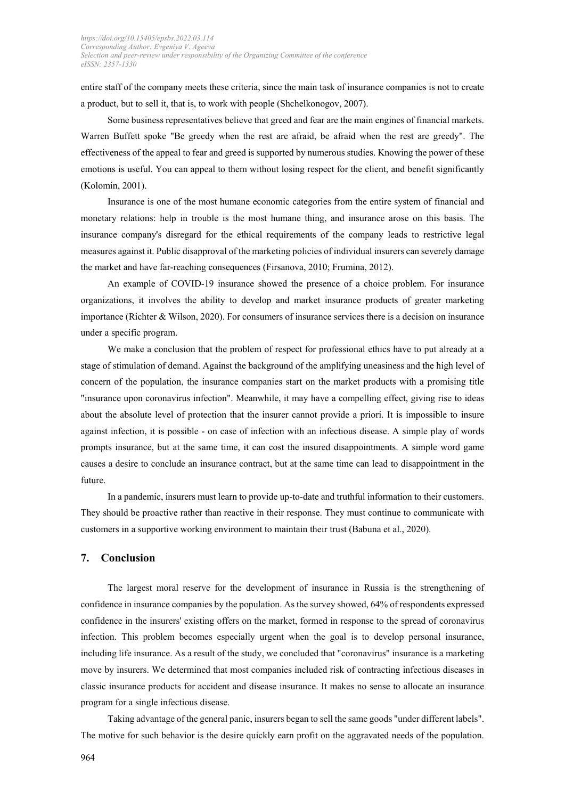entire staff of the company meets these criteria, since the main task of insurance companies is not to create a product, but to sell it, that is, to work with people (Shchelkonogov, 2007).

Some business representatives believe that greed and fear are the main engines of financial markets. Warren Buffett spoke "Be greedy when the rest are afraid, be afraid when the rest are greedy". The effectiveness of the appeal to fear and greed is supported by numerous studies. Knowing the power of these emotions is useful. You can appeal to them without losing respect for the client, and benefit significantly (Kolomin, 2001).

Insurance is one of the most humane economic categories from the entire system of financial and monetary relations: help in trouble is the most humane thing, and insurance arose on this basis. The insurance company's disregard for the ethical requirements of the company leads to restrictive legal measures against it. Public disapproval of the marketing policies of individual insurers can severely damage the market and have far-reaching consequences (Firsanova, 2010; Frumina, 2012).

An example of COVID-19 insurance showed the presence of a choice problem. For insurance organizations, it involves the ability to develop and market insurance products of greater marketing importance (Richter & Wilson, 2020). For consumers of insurance services there is a decision on insurance under a specific program.

We make a conclusion that the problem of respect for professional ethics have to put already at a stage of stimulation of demand. Against the background of the amplifying uneasiness and the high level of concern of the population, the insurance companies start on the market products with a promising title "insurance upon coronavirus infection". Meanwhile, it may have a compelling effect, giving rise to ideas about the absolute level of protection that the insurer cannot provide a priori. It is impossible to insure against infection, it is possible - on case of infection with an infectious disease. A simple play of words prompts insurance, but at the same time, it can cost the insured disappointments. A simple word game causes a desire to conclude an insurance contract, but at the same time can lead to disappointment in the future.

In a pandemic, insurers must learn to provide up-to-date and truthful information to their customers. They should be proactive rather than reactive in their response. They must continue to communicate with customers in a supportive working environment to maintain their trust (Babuna et al., 2020).

## **7. Conclusion**

The largest moral reserve for the development of insurance in Russia is the strengthening of confidence in insurance companies by the population. As the survey showed, 64% of respondents expressed confidence in the insurers' existing offers on the market, formed in response to the spread of coronavirus infection. This problem becomes especially urgent when the goal is to develop personal insurance, including life insurance. As a result of the study, we concluded that "coronavirus" insurance is a marketing move by insurers. We determined that most companies included risk of contracting infectious diseases in classic insurance products for accident and disease insurance. It makes no sense to allocate an insurance program for a single infectious disease.

Taking advantage of the general panic, insurers began to sell the same goods "under different labels". The motive for such behavior is the desire quickly earn profit on the aggravated needs of the population.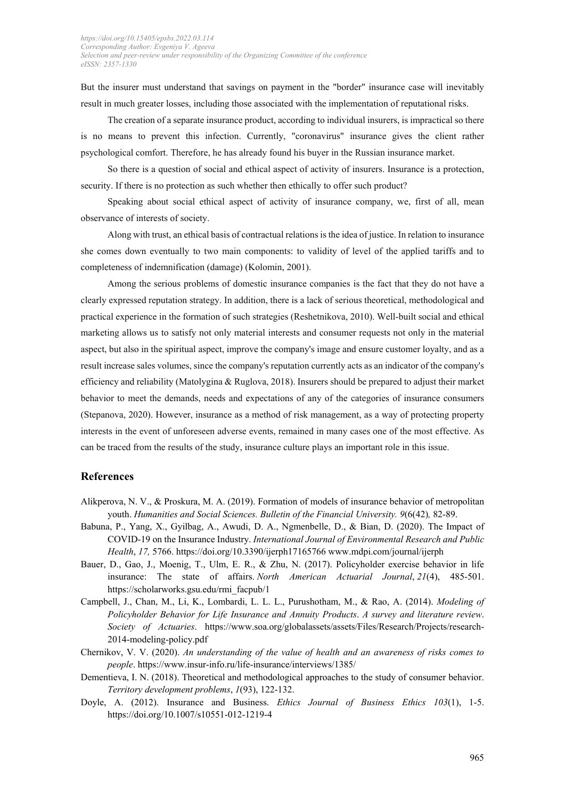But the insurer must understand that savings on payment in the "border" insurance case will inevitably result in much greater losses, including those associated with the implementation of reputational risks.

The creation of a separate insurance product, according to individual insurers, is impractical so there is no means to prevent this infection. Currently, "coronavirus" insurance gives the client rather psychological comfort. Therefore, he has already found his buyer in the Russian insurance market.

So there is a question of social and ethical aspect of activity of insurers. Insurance is a protection, security. If there is no protection as such whether then ethically to offer such product?

Speaking about social ethical aspect of activity of insurance company, we, first of all, mean observance of interests of society.

Along with trust, an ethical basis of contractual relations is the idea of justice. In relation to insurance she comes down eventually to two main components: to validity of level of the applied tariffs and to completeness of indemnification (damage) (Kolomin, 2001).

Among the serious problems of domestic insurance companies is the fact that they do not have a clearly expressed reputation strategy. In addition, there is a lack of serious theoretical, methodological and practical experience in the formation of such strategies (Reshetnikova, 2010). Well-built social and ethical marketing allows us to satisfy not only material interests and consumer requests not only in the material aspect, but also in the spiritual aspect, improve the company's image and ensure customer loyalty, and as a result increase sales volumes, since the company's reputation currently acts as an indicator of the company's efficiency and reliability (Matolygina & Ruglova, 2018). Insurers should be prepared to adjust their market behavior to meet the demands, needs and expectations of any of the categories of insurance consumers (Stepanova, 2020). However, insurance as a method of risk management, as a way of protecting property interests in the event of unforeseen adverse events, remained in many cases one of the most effective. As can be traced from the results of the study, insurance culture plays an important role in this issue.

# **References**

- Alikperova, N. V., & Proskura, M. A. (2019). Formation of models of insurance behavior of metropolitan youth. *Humanities and Social Sciences. Bulletin of the Financial University. 9*(6(42)*,* 82-89.
- Babuna, P., Yang, X., Gyilbag, A., Awudi, D. A., Ngmenbelle, D., & Bian, D. (2020). The Impact of COVID-19 on the Insurance Industry. *International Journal of Environmental Research and Public Health*, *17,* 5766. https://doi.org/10.3390/ijerph17165766 www.mdpi.com/journal/ijerph
- Bauer, D., Gao, J., Moenig, T., Ulm, E. R., & Zhu, N. (2017). Policyholder exercise behavior in life insurance: The state of affairs. *North American Actuarial Journal*, *21*(4), 485-501. [https://scholarworks.gsu.edu/rmi\\_facpub/1](https://scholarworks.gsu.edu/rmi_facpub/1)
- Campbell, J., Chan, M., Li, K., Lombardi, L. L. L., Purushotham, M., & Rao, A. (2014). *Modeling of Policyholder Behavior for Life Insurance and Annuity Products*. *A survey and literature review*. *Society of Actuaries*. [https://www.soa.org/globalassets/assets/Files/Research/Projects/research-](https://www.soa.org/globalassets/assets/Files/Research/Projects/research-2014-modeling-policy.pdf)[2014-modeling-policy.pdf](https://www.soa.org/globalassets/assets/Files/Research/Projects/research-2014-modeling-policy.pdf)
- Chernikov, V. V. (2020). *An understanding of the value of health and an awareness of risks comes to people*.<https://www.insur-info.ru/life-insurance/interviews/1385/>
- Dementieva, I. N. (2018). Theoretical and methodological approaches to the study of consumer behavior. *Territory development problems*, *1*(93), 122-132.
- Doyle, [A. \(2012\).](https://www.researchgate.net/profile/Aaron_Doyle) Insurance and Business. *Ethics [Journal of Business Ethics](https://www.researchgate.net/journal/0167-4544_Journal_of_Business_Ethics) 103*(1), 1-5. https://doi.org[/10.1007/s10551-012-1219-4](https://www.researchgate.net/deref/http%3A%2F%2Fdx.doi.org%2F10.1007%2Fs10551-012-1219-4)